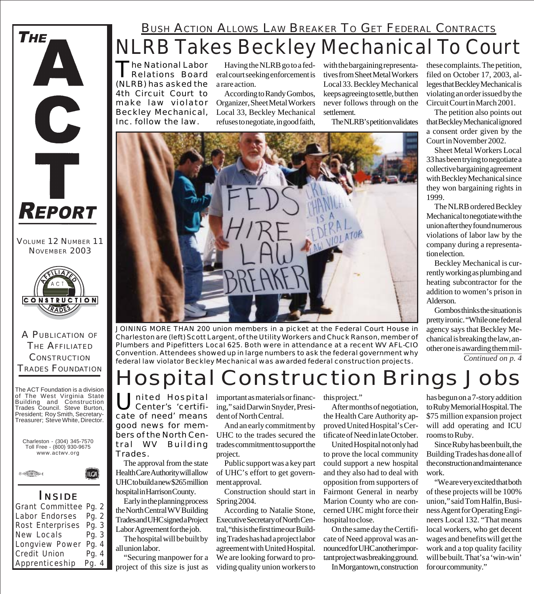

VOLUME 12 NUMBER 11 NOVEMBER 2003



A PUBLICATION OF THE AFFILIATED **CONSTRUCTION** TRADES FOUNDATION

The ACT Foundation is a division of The West Virginia State Building and Construction Trades Council. Steve Burton, President; Roy Smith, Secretary-Treasurer; Steve White, Director.





#### *I NSIDE*

(IICA)

| Grant Committee Pg. 2  |         |
|------------------------|---------|
| Labor Endorses Pg. 2   |         |
| Rost Enterprises Pg. 3 |         |
| New Locals             | Pq. $3$ |
| Longview Power Pg. 4   |         |
| Credit Union           | Pg. $4$ |
| Apprenticeship         | Pg. $4$ |

### NLRB Takes Beckley Mechanical To Court **BUSH ACTION ALLOWS LAW BREAKER TO GET FEDERAL CONTRACTS**

The National Labor Relations Board (NLRB) has asked the 4th Circuit Court to make law violator Beckley Mechanical, Inc. follow the law.

Having the NLRB go to a federal court seeking enforcement is a rare action.

According to Randy Gombos, Organizer, Sheet Metal Workers Local 33, Beckley Mechanical refuses to negotiate, in good faith,

with the bargaining representatives from Sheet Metal Workers Local 33. Beckley Mechanical keeps agreeing to settle, but then never follows through on the settlement.

The NLRB's petition validates



*JOINING MORE THAN 200 union members in a picket at the Federal Court House in Charleston are (left) Scott Largent, of the Utility Workers and Chuck Ranson, member of Plumbers and Pipefitters Local 625. Both were in attendance at a recent WV AFL-CIO Convention. Attendees showed up in large numbers to ask the federal government why federal law violator Beckley Mechanical was awarded federal construction projects. Continued on p. 4*

# Hospital Construction Brings Jobs

United Hospital<br>Center's 'certificate of need' means good news for members of the North Central WV Building Trades.

The approval from the state Health Care Authority will allow UHC to build a new \$265 million hospital in Harrison County.

Early in the planning process the North Central WV Building Trades and UHC signed a Project Labor Agreement for the job.

The hospital will be built by all union labor.

"Securing manpower for a project of this size is just as

important as materials or financing," said Darwin Snyder, President of North Central.

And an early commitment by UHC to the trades secured the trades commitment to support the project.

Public support was a key part of UHC's effort to get government approval.

Construction should start in Spring 2004.

According to Natalie Stone, Executive Secretary of North Central, "this is the first time our Building Trades has had a project labor agreement with United Hospital. We are looking forward to providing quality union workers to

this project."

After months of negotiation, the Health Care Authority approved United Hospital's Certificate of Need in late October.

United Hospital not only had to prove the local community could support a new hospital and they also had to deal with opposition from supporters of Fairmont General in nearby Marion County who are concerned UHC might force their hospital to close.

On the same day the Certificate of Need approval was announced for UHC another important project was breaking ground.

In Morgantown, construction

these complaints. The petition, filed on October 17, 2003, alleges that Beckley Mechanical is violating an order issued by the Circuit Court in March 2001.

The petition also points out that Beckley Mechanical ignored a consent order given by the Court in November 2002.

Sheet Metal Workers Local 33 has been trying to negotiate a collective bargaining agreement with Beckley Mechanical since they won bargaining rights in 1999.

The NLRB ordered Beckley Mechanical to negotiate with the union after they found numerous violations of labor law by the company during a representation election.

Beckley Mechanical is currently working as plumbing and heating subcontractor for the addition to women's prison in Alderson.

Gombos thinks the situation is pretty ironic. "While one federal agency says that Beckley Mechanical is breaking the law, another one is awarding them mil-

has begun on a 7-story addition to Ruby Memorial Hospital. The \$75 million expansion project will add operating and ICU

rooms to Ruby. Since Ruby has been built, the Building Trades has done all of the construction and maintenance work.

"We are very excited that both of these projects will be 100% union," said Tom Halfin, Business Agent for Operating Engineers Local 132. "That means local workers, who get decent wages and benefits will get the work and a top quality facility will be built. That's a 'win-win' for our community."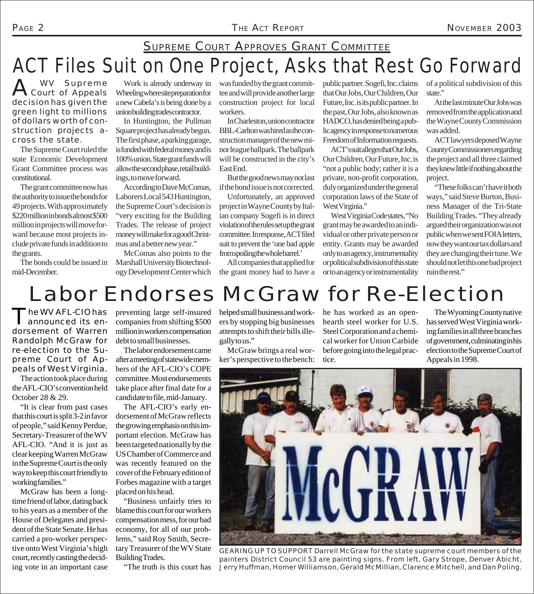## ACT Files Suit on One Project, Asks that Rest Go Forward SUPREME COURT APPROVES GRANT COMMITTEE

A Court of Appeals decision has given the green light to millions of dollars worth of construction projects across the state.

The Supreme Court ruled the state Economic Development Grant Committee process was constitutional.

The grant committee now has the authority to issue the bonds for 49 projects. With approximately \$220 million in bonds almost \$500 million in projects will move forward because most projects include private funds in addition to the grants.

The bonds could be issued in mid-December.

Work is already underway in Wheeling where site preparation for a new Cabela's is being done by a union building trades contractor.

In Huntington, the Pullman Square project has already begun. The first phase, a parking garage, is funded with federal money and is 100% union. State grant funds will allow the second phase, retail buildings, to move forward.

According to Dave McComas, Laborers Local 543 Huntington, the Supreme Court's decision is "very exciting for the Building Trades. The release of project money will make for a good Christmas and a better new year."

McComas also points to the Marshall University Biotechnology Development Center which was funded by the grant committee and will provide another large construction project for local workers.

In Charleston, union contractor BBL-Carlton was hired as the construction manager of the new minor league ballpark. The ballpark will be constructed in the city's East End.

But the good news may not last if the bond issue is not corrected.

Unfortunately, an approved project in Wayne County by Italian company Sogefi is in direct violation of the rules set up the grant committee. In response, ACT filed suit to prevent the 'one bad apple from spoiling the whole barrel.'

All companies that applied for the grant money had to have a public partner. Sogefi, Inc. claims that Our Jobs, Our Children, Our Future, Inc. is its public partner. In the past, Our Jobs, also known as HADCO, has denied being a public agency in response to numerous Freedom of Information requests.

ACT's suit alleges that Our Jobs, Our Children, Our Future, Inc. is "not a public body; rather it is a private, non-profit corporation, duly organized under the general corporation laws of the State of West Virginia."

West Virginia Code states, "No grant may be awarded to an individual or other private person or entity. Grants may be awarded only to an agency, instrumentality or political subdivision of this state or to an agency or instrumentality

of a political subdivision of this state."

At the last minute Our Jobs was removed from the application and the Wayne County Commission was added.

ACT lawyers deposed Wayne County Commissioners regarding the project and all three claimed they knew little if nothing about the project.

"These folks can't have it both ways," said Steve Burton, Business Manager of the Tri-State Building Trades. "They already argued their organization was not public when we sent FOIA letters, now they want our tax dollars and they are changing their tune. We should not let this one bad project ruin the rest."

## Labor Endorses McGraw for Re-Election

The WV AFL-CIO has announced its endorsement of Warren Randolph McGraw for re-election to the Supreme Court of Appeals of West Virginia.

The action took place during the AFL-CIO's convention held October 28 & 29.

"It is clear from past cases that this court is split 3-2 in favor of people," said Kenny Perdue, Secretary-Treasurer of the WV AFL-CIO. "And it is just as clear keeping Warren McGraw in the Supreme Court is the only way to keep this court friendly to working families."

McGraw has been a longtime friend of labor, dating back to his years as a member of the House of Delegates and president of the State Senate. He has carried a pro-worker perspective onto West Virginia's high court, recently casting the deciding vote in an important case

preventing large self-insured companies from shifting \$500 million in workers compensation debt to small businesses.

The labor endorsement came after a meeting of statewide members of the AFL-CIO's COPE committee. Most endorsements take place after final date for a candidate to file, mid-January.

The AFL-CIO's early endorsement of McGraw reflects the growing emphasis on this important election. McGraw has been targeted nationally by the US Chamber of Commerce and was recently featured on the cover of the February edition of Forbes magazine with a target placed on his head.

"Business unfairly tries to blame this court for our workers compensation mess, for our bad economy, for all of our problems," said Roy Smith, Secretary Treasurer of the WV State Building Trades.

"The truth is this court has

helped small business and workers by stopping big businesses attempts to shift their bills illegally to us."

McGraw brings a real worker's perspective to the bench: he has worked as an openhearth steel worker for U.S. Steel Corporation and a chemical worker for Union Carbide before going into the legal practice.

The Wyoming County native has served West Virginia working families in all three branches of government, culminating in his election to the Supreme Court of Appeals in 1998.



*GEARING UP TO SUPPORT Darrell McGraw for the state supreme court members of the painters District Council 53 are painting signs. From left, Gary Strope, Denver Abicht, Jerry Huffman, Homer Williamson, Gerald McMillian, Clarence Mitchell, and Dan Poling.*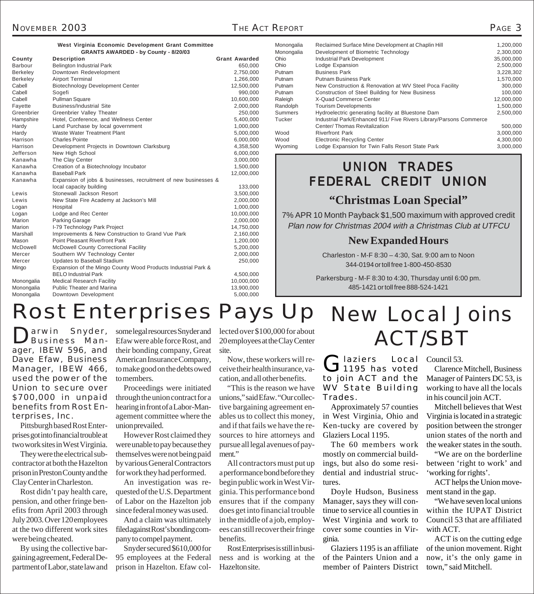| West Virginia Economic Development Grant Committee |  |  |
|----------------------------------------------------|--|--|
| <b>GRANTS AWARDED - by County - 8/20/03</b>        |  |  |

| County          | <b>Description</b>                                              | <b>Grant Awarded</b> |
|-----------------|-----------------------------------------------------------------|----------------------|
| <b>Barbour</b>  | <b>Belington Industrial Park</b>                                | 650,000              |
| <b>Berkeley</b> | Downtown Redevelopment                                          | 2,750,000            |
| <b>Berkeley</b> | <b>Airport Terminal</b>                                         | 1,266,000            |
| Cabell          | <b>Biotechnology Development Center</b>                         | 12,500,000           |
| Cabell          | Sogefi                                                          | 990,000              |
| Cabell          | Pullman Square                                                  | 10,600,000           |
| Fayette         | <b>Business/Industrial Site</b>                                 | 2,000,000            |
| Greenbrier      | Greenbrier Valley Theater                                       | 250,000              |
| Hampshire       | Hotel, Conference, and Wellness Center                          | 5,400,000            |
| Hardy           | Land Purchase by local government                               | 1,000,000            |
| Hardy           | <b>Waste Water Treatment Plant</b>                              | 5,000,000            |
| Harrison        | <b>Charles Pointe</b>                                           | 6,000,000            |
| Harrison        | Development Projects in Downtown Clarksburg                     | 4,358,500            |
| Jefferson       | New High School                                                 | 6,000,000            |
| Kanawha         | The Clay Center                                                 | 3,000,000            |
| Kanawha         | Creation of a Biotechnology Incubator                           | 1,500,000            |
| Kanawha         | <b>Baseball Park</b>                                            | 12,000,000           |
| Kanawha         | Expansion of jobs & businesses, recruitment of new businesses & |                      |
|                 | local capacity building                                         | 133,000              |
| Lewis           | Stonewall Jackson Resort                                        | 3,500,000            |
| Lewis           | New State Fire Academy at Jackson's Mill                        | 2,000,000            |
| Logan           | Hospital                                                        | 1,000,000            |
| Logan           | Lodge and Rec Center                                            | 10,000,000           |
| Marion          | <b>Parking Garage</b>                                           | 2,000,000            |
| Marion          | I-79 Technology Park Project                                    | 14,750,000           |
| Marshall        | Improvements & New Construction to Grand Vue Park               | 2,160,000            |
| Mason           | <b>Point Pleasant Riverfront Park</b>                           | 1,200,000            |
| McDowell        | McDowell County Correctional Facility                           | 5,200,000            |
| Mercer          | Southern WV Technology Center                                   | 2,000,000            |
| Mercer          | Updates to Baseball Stadium                                     | 250,000              |
| Mingo           | Expansion of the Mingo County Wood Products Industrial Park &   |                      |
|                 | <b>BELO Industrial Park</b>                                     | 4,500,000            |
| Monongalia      | <b>Medical Research Facility</b>                                | 10,000,000           |
| Monongalia      | <b>Public Theater and Marina</b>                                | 13,900,000           |
| Monongalia      | Downtown Development                                            | 5,000,000            |
|                 |                                                                 |                      |

| Monongalia | Reclaimed Surface Mine Development at Chaplin Hill                 | 1,200,000  |  |
|------------|--------------------------------------------------------------------|------------|--|
| Monongalia | Development of Biometric Technology                                | 2,300,000  |  |
| Ohio       | <b>Industrial Park Development</b>                                 | 35,000,000 |  |
| Ohio       | Lodge Expansion                                                    | 2,500,000  |  |
| Putnam     | <b>Business Park</b>                                               | 3,228,302  |  |
| Putnam     | <b>Putnam Business Park</b>                                        | 1,570,000  |  |
| Putnam     | New Construction & Renovation at WV Steel Poca Facility            | 300,000    |  |
| Putnam     | Construction of Steel Building for New Business                    | 100,000    |  |
| Raleigh    | X-Quad Commerce Center                                             | 12,000,000 |  |
| Randolph   | <b>Tourism Developments</b>                                        | 1,500,000  |  |
| Summers    | Hydroelectric generating facility at Bluestone Dam                 | 2,500,000  |  |
| Tucker     | Industrial Park/Enhanced 911/ Five Rivers Library/Parsons Commerce |            |  |
|            | Center/Thomas Revitalization                                       | 500,000    |  |
| Wood       | <b>Riverfront Park</b>                                             | 3,000,000  |  |
| Wood       | <b>Electronic Recycling Center</b>                                 | 4,300,000  |  |
| Wyoming    | Lodge Expansion for Twin Falls Resort State Park                   | 3.000.000  |  |

### UNION TRADES FEDERAL CREDIT UNION

#### **"Christmas Loan Special"**

7% APR 10 Month Payback \$1,500 maximum with approved credit Plan now for Christmas 2004 with a Christmas Club at UTFCU

#### **New Expanded Hours**

Charleston - M-F 8:30 – 4:30, Sat. 9:00 am to Noon 344-0194 or toll free 1-800-450-8530

Parkersburg - M-F 8:30 to 4:30, Thursday until 6:00 pm. 485-1421 or toll free 888-524-1421

## Rost Enterprises Pays Up New Local Joins

arwin Snyder, Business Manager, IBEW 596, and Dave Efaw, Business Manager, IBEW 466, used the power of the Union to secure over \$700,000 in unpaid benefits from Rost Enterprises, Inc.

Pittsburgh based Rost Enterprises got into financial trouble at two work sites in West Virginia.

They were the electrical subcontractor at both the Hazelton prison in Preston County and the Clay Center in Charleston.

Rost didn't pay health care, pension, and other fringe benefits from April 2003 through July 2003. Over 120 employees at the two different work sites were being cheated.

By using the collective bargaining agreement, Federal Department of Labor, state law and some legal resources Snyder and Efaw were able force Rost, and their bonding company, Great American Insurance Company, to make good on the debts owed to members.

Proceedings were initiated through the union contract for a hearing in front of a Labor-Management committee where the union prevailed.

However Rost claimed they were unable to pay because they themselves were not being paid by various General Contractors for work they had performed.

An investigation was requested of the U.S. Department of Labor on the Hazelton job since federal money was used.

And a claim was ultimately filed against Rost's bonding company to compel payment.

Snyder secured \$610,000 for 95 employees at the Federal prison in Hazelton. Efaw collected over \$100,000 for about 20 employees at the Clay Center site.

Now, these workers will receive their health insurance, vacation, and all other benefits.

"This is the reason we have unions," said Efaw. "Our collective bargaining agreement enables us to collect this money, and if that fails we have the resources to hire attorneys and pursue all legal avenues of payment."

All contractors must put up a performance bond before they begin public work in West Virginia. This performance bond ensures that if the company does get into financial trouble in the middle of a job, employees can still recover their fringe benefits.

Rost Enterprises is still in business and is working at the Hazelton site.

# ACT/SBT

Glaziers Local<br>
1195 has voted to join ACT and the WV State Building Trades.

Approximately 57 counties in West Virginia, Ohio and Ken-tucky are covered by Glaziers Local 1195.

The 60 members work mostly on commercial buildings, but also do some residential and industrial structures.

Doyle Hudson, Business Manager, says they will continue to service all counties in West Virginia and work to cover some counties in Virginia.

Glaziers 1195 is an affiliate of the Painters Union and a member of Painters District

Council 53.

Clarence Mitchell, Business Manager of Painters DC 53, is working to have all the locals in his council join ACT.

Mitchell believes that West Virginia is located in a strategic position between the stronger union states of the north and the weaker states in the south.

"We are on the borderline between 'right to work' and 'working for rights'.

ACT helps the Union movement stand in the gap.

"We have seven local unions within the IUPAT District Council 53 that are affiliated with ACT.

ACT is on the cutting edge of the union movement. Right now, it's the only game in town," said Mitchell.